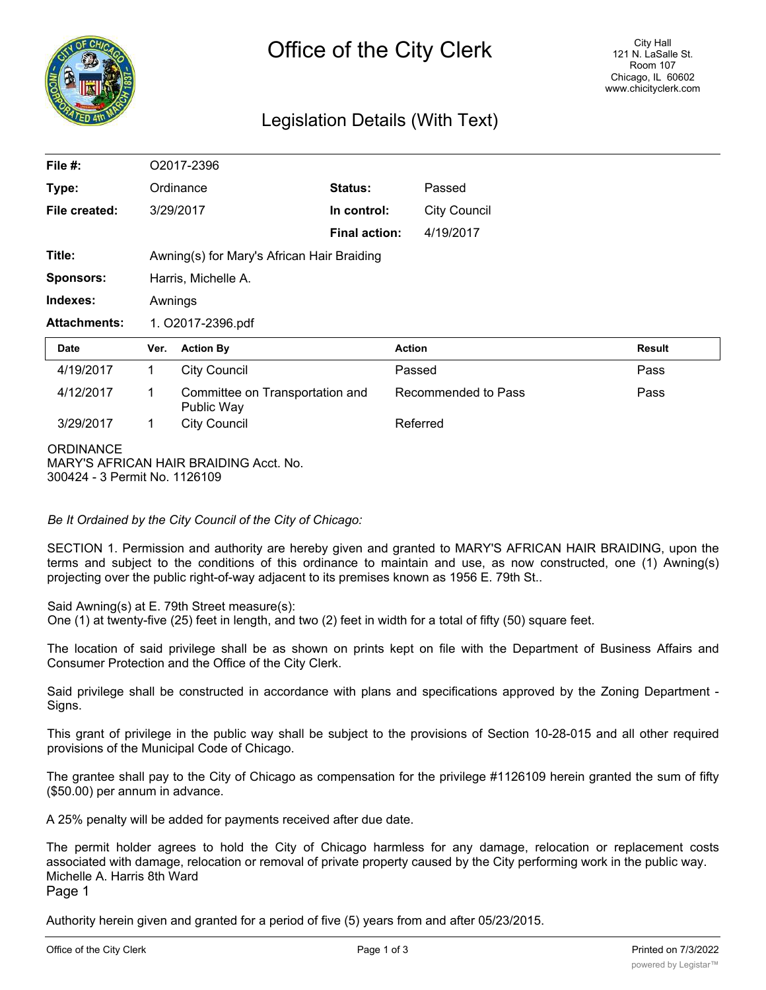

## Legislation Details (With Text)

| File $#$ :                                        |             | O2017-2396                                    |                      |                     |               |  |
|---------------------------------------------------|-------------|-----------------------------------------------|----------------------|---------------------|---------------|--|
| Type:<br>Ordinance                                |             |                                               | Status:              | Passed              |               |  |
| File created:                                     |             | 3/29/2017                                     | In control:          | <b>City Council</b> |               |  |
|                                                   |             |                                               | <b>Final action:</b> | 4/19/2017           |               |  |
| Title:                                            |             | Awning(s) for Mary's African Hair Braiding    |                      |                     |               |  |
| <b>Sponsors:</b>                                  |             | Harris, Michelle A.                           |                      |                     |               |  |
| Indexes:                                          |             | Awnings                                       |                      |                     |               |  |
| <b>Attachments:</b>                               |             | 1. O2017-2396.pdf                             |                      |                     |               |  |
| Date                                              | Ver.        | <b>Action By</b>                              |                      | <b>Action</b>       | <b>Result</b> |  |
| 4/19/2017                                         | $\mathbf 1$ | <b>City Council</b>                           |                      | Passed              | Pass          |  |
| 4/12/2017                                         | 1           | Committee on Transportation and<br>Public Way |                      | Recommended to Pass | Pass          |  |
| 3/29/2017                                         | $\mathbf 1$ | <b>City Council</b>                           |                      | Referred            |               |  |
| <b>ORDINANCE</b><br>300424 - 3 Permit No. 1126109 |             | MARY'S AFRICAN HAIR BRAIDING Acct. No.        |                      |                     |               |  |

*Be It Ordained by the City Council of the City of Chicago:*

SECTION 1. Permission and authority are hereby given and granted to MARY'S AFRICAN HAIR BRAIDING, upon the terms and subject to the conditions of this ordinance to maintain and use, as now constructed, one (1) Awning(s) projecting over the public right-of-way adjacent to its premises known as 1956 E. 79th St..

Said Awning(s) at E. 79th Street measure(s):

One (1) at twenty-five (25) feet in length, and two (2) feet in width for a total of fifty (50) square feet.

The location of said privilege shall be as shown on prints kept on file with the Department of Business Affairs and Consumer Protection and the Office of the City Clerk.

Said privilege shall be constructed in accordance with plans and specifications approved by the Zoning Department - Signs.

This grant of privilege in the public way shall be subject to the provisions of Section 10-28-015 and all other required provisions of the Municipal Code of Chicago.

The grantee shall pay to the City of Chicago as compensation for the privilege #1126109 herein granted the sum of fifty (\$50.00) per annum in advance.

A 25% penalty will be added for payments received after due date.

The permit holder agrees to hold the City of Chicago harmless for any damage, relocation or replacement costs associated with damage, relocation or removal of private property caused by the City performing work in the public way. Michelle A. Harris 8th Ward

Page 1

Authority herein given and granted for a period of five (5) years from and after 05/23/2015.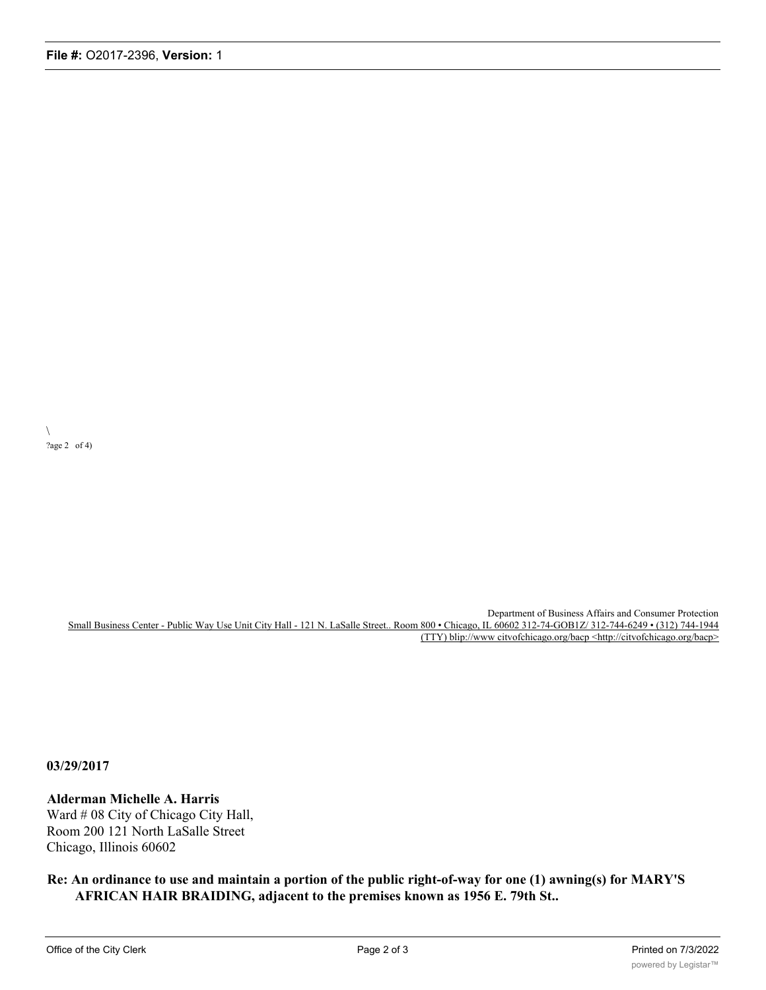$\overline{\phantom{0}}$ ?age 2 of 4)

> Department of Business Affairs and Consumer Protection Small Business Center - Public Way Use Unit City Hall - 121 N. LaSalle Street.. Room 800 • Chicago, IL 60602 312-74-GOB1Z/ 312-744-6249 • (312) 744-1944 (TTY) blip://www citvofchicago.org/bacp <http://citvofchicago.org/bacp>

**03/29/2017**

## **Alderman Michelle A. Harris**

Ward # 08 City of Chicago City Hall, Room 200 121 North LaSalle Street Chicago, Illinois 60602

**Re: An ordinance to use and maintain a portion of the public right-of-way for one (1) awning(s) for MARY'S AFRICAN HAIR BRAIDING, adjacent to the premises known as 1956 E. 79th St..**